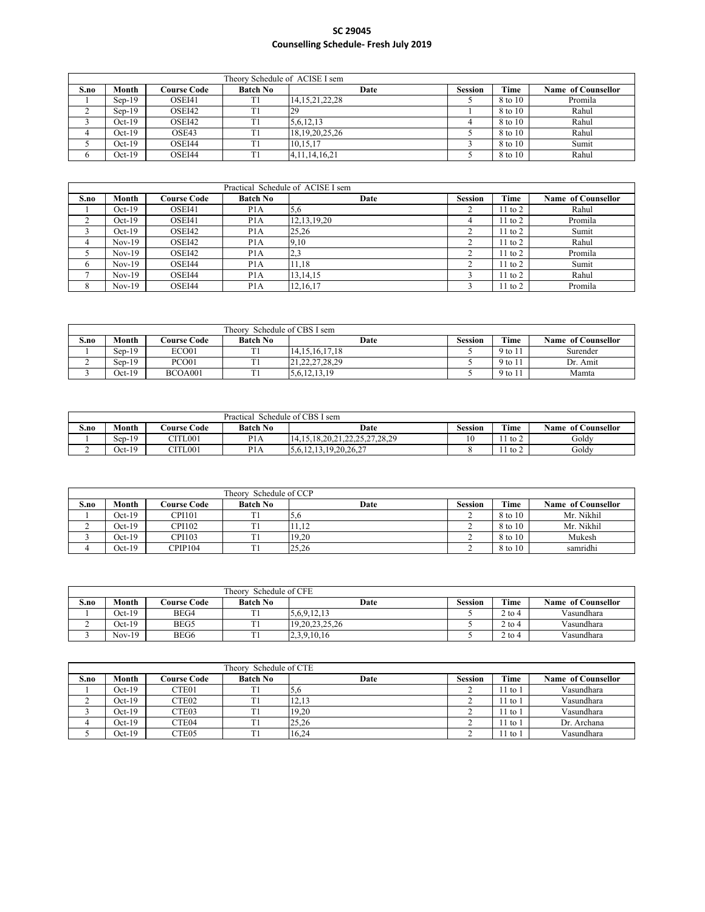|      | Theory Schedule of ACISE I sem |                    |                 |                    |                |         |                    |  |  |  |  |
|------|--------------------------------|--------------------|-----------------|--------------------|----------------|---------|--------------------|--|--|--|--|
| S.no | Month                          | <b>Course Code</b> | <b>Batch No</b> | Date               | <b>Session</b> | Time    | Name of Counsellor |  |  |  |  |
|      | $Sen-19$                       | OSEI41             | T1              | 14, 15, 21, 22, 28 |                | 8 to 10 | Promila            |  |  |  |  |
|      | $Sen-19$                       | OSEI42             | T1              | 29                 |                | 8 to 10 | Rahul              |  |  |  |  |
|      | $Oct-19$                       | OSEI42             | TI              | 5,6,12,13          |                | 8 to 10 | Rahul              |  |  |  |  |
| 4    | $Oct-19$                       | OSE43              | T1              | 18, 19, 20, 25, 26 |                | 8 to 10 | Rahul              |  |  |  |  |
|      | $Oct-19$                       | OSEI44             | T1              | 10,15,17           |                | 8 to 10 | Sumit              |  |  |  |  |
|      | $Oct-19$                       | OSEI44             | T1              | 4, 11, 14, 16, 21  |                | 8 to 10 | Rahul              |  |  |  |  |

|      |          |                     |                  | Practical Schedule of ACISE I sem |                |             |                    |
|------|----------|---------------------|------------------|-----------------------------------|----------------|-------------|--------------------|
| S.no | Month    | C <b>ourse Code</b> | <b>Batch No</b>  | Date                              | <b>Session</b> | Time        | Name of Counsellor |
|      | $Oct-19$ | OSEI41              | P <sub>1</sub> A | 5,6                               |                | $11$ to $2$ | Rahul              |
|      | $Oct-19$ | OSEI41              | P <sub>1</sub> A | 12, 13, 19, 20                    |                | $11$ to $2$ | Promila            |
|      | $Oct-19$ | OSEI42              | P <sub>1</sub> A | 25,26                             |                | $11$ to $2$ | Sumit              |
| 4    | $Nov-19$ | OSEI42              | P <sub>1</sub> A | 9,10                              |                | $11$ to $2$ | Rahul              |
|      | $Nov-19$ | OSEI42              | P <sub>1</sub> A | 2,3                               |                | $11$ to $2$ | Promila            |
| 6    | $Nov-19$ | OSEI44              | P <sub>1</sub> A | 11,18                             |                | $11$ to $2$ | Sumit              |
|      | $Nov-19$ | OSEI44              | P <sub>1</sub> A | 13, 14, 15                        |                | $11$ to $2$ | Rahul              |
| 8    | $Nov-19$ | OSEI44              | P <sub>1</sub> A | 12, 16, 17                        |                | $11$ to $2$ | Promila            |

|      | Theory.<br>Schedule of CBS I sem |                    |                 |                    |         |         |                    |  |  |  |  |
|------|----------------------------------|--------------------|-----------------|--------------------|---------|---------|--------------------|--|--|--|--|
| S.no | Month                            | <b>Course Code</b> | <b>Batch No</b> | Date               | Session | Time    | Name of Counsellor |  |  |  |  |
|      | $Sen-19$                         | ECO01              | T <sub>1</sub>  | 14.15.16.17.18     |         | 9 to 11 | Surender           |  |  |  |  |
| ∸    | $Sen-19$                         | PCO <sub>01</sub>  | T <sub>1</sub>  | 21, 22, 27, 28, 29 |         | 9 to 11 | Dr. Amit           |  |  |  |  |
|      | $Oct-19$                         | BCOA001            | T1              | 5, 6, 12, 13, 19   |         | 9 to 11 | Mamta              |  |  |  |  |

|      | Schedule of CBS I sem<br>Practical |                    |                  |                               |         |      |                              |  |  |  |  |
|------|------------------------------------|--------------------|------------------|-------------------------------|---------|------|------------------------------|--|--|--|--|
| S.no | Month                              | <b>Course Code</b> | <b>Batch No</b>  | Date                          | Session | Time | <b>Name</b><br>of Counsellor |  |  |  |  |
|      | $Sen-19$                           | CITL001            | P <sub>1</sub> A | /.28.29<br>18.20.21.22.25.27. | $\sim$  | to 2 | Goldy                        |  |  |  |  |
| ∸    | $Oct-19$                           | CITL001            | D1<br>P I A      | 13.19.20.26.27<br>5.6.12.13.1 |         | to 2 | Goldy                        |  |  |  |  |

|      | Theory Schedule of CCP |                    |                 |       |                |         |                    |  |  |  |  |
|------|------------------------|--------------------|-----------------|-------|----------------|---------|--------------------|--|--|--|--|
| S.no | Month                  | <b>Course Code</b> | <b>Batch No</b> | Date  | <b>Session</b> | Time    | Name of Counsellor |  |  |  |  |
|      | $Oct-19$               | <b>CPI101</b>      | T1              |       |                | 8 to 10 | Mr. Nikhil         |  |  |  |  |
| ∸    | $Oct-19$               | <b>CPI102</b>      |                 | 11.12 |                | 8 to 10 | Mr. Nikhil         |  |  |  |  |
|      | $Oct-19$               | <b>CPI103</b>      |                 | 19.20 |                | 8 to 10 | Mukesh             |  |  |  |  |
| 4    | $Oct-19$               | CPIP104            |                 | 25.26 |                | 8 to 10 | samridhi           |  |  |  |  |

|      | Theory.<br>Schedule of CFE |                    |                 |                |         |          |                    |  |  |  |  |  |
|------|----------------------------|--------------------|-----------------|----------------|---------|----------|--------------------|--|--|--|--|--|
| S.no | Month                      | <b>Course Code</b> | <b>Batch No</b> | Date           | Session | Time     | Name of Counsellor |  |  |  |  |  |
|      | $Oct-19$                   | BEG4               | T <sub>1</sub>  | 5,6,9,12,13    |         | $2$ to 4 | Vasundhara         |  |  |  |  |  |
|      | $Oct-19$                   | BEG5               | $\sim$          | 19.20.23.25.26 |         | $2$ to 4 | Vasundhara         |  |  |  |  |  |
|      | $Nov-19$                   | BEG6               |                 | 2,3,9,10,16    |         | $2$ to 4 | Vasundhara         |  |  |  |  |  |

|      | Theory Schedule of CTE |                   |                 |       |                |             |                    |  |  |  |  |
|------|------------------------|-------------------|-----------------|-------|----------------|-------------|--------------------|--|--|--|--|
| S.no | Month                  | Course Code       | <b>Batch No</b> | Date  | <b>Session</b> | Time        | Name of Counsellor |  |  |  |  |
|      | Oct-19                 | CTE01             | m.              | 5, 6  |                | 11 to '     | Vasundhara         |  |  |  |  |
|      | Oct-19                 | CTE <sub>02</sub> | m.              | 12.13 |                | 11 to !     | Vasundhara         |  |  |  |  |
|      | Oct-19                 | CTE03             | m.              | 19.20 |                | $11$ to $'$ | Vasundhara         |  |  |  |  |
|      | Oct-19                 | CTE <sub>04</sub> | m.              | 25.26 |                | $11$ to $'$ | Dr. Archana        |  |  |  |  |
|      | Oct-19                 | CTE <sub>05</sub> | m.              | 16.24 |                | $11$ to $'$ | Vasundhara         |  |  |  |  |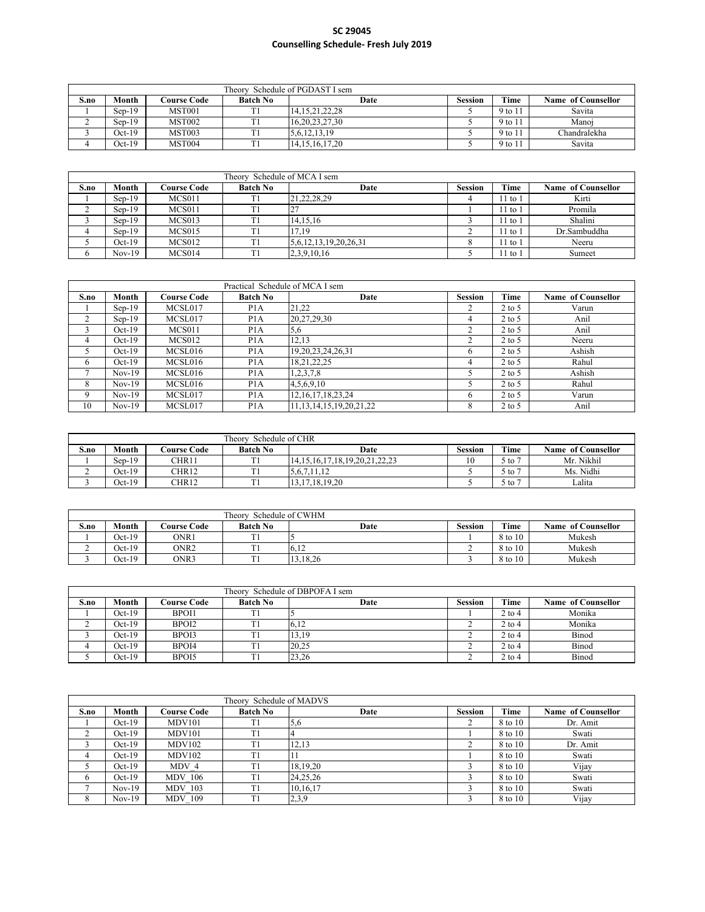|      | Schedule of PGDAST I sem<br>Theorv |                    |                 |                    |         |         |                    |  |  |  |  |  |
|------|------------------------------------|--------------------|-----------------|--------------------|---------|---------|--------------------|--|--|--|--|--|
| S.no | Month                              | <b>Course Code</b> | <b>Batch No</b> | Date               | Session | Time    | Name of Counsellor |  |  |  |  |  |
|      | $Sen-19$                           | MST <sub>001</sub> | T 1             | 14, 15, 21, 22, 28 |         | 9 to 11 | Savita             |  |  |  |  |  |
|      | $Sep-19$                           | MST002             |                 | 16, 20, 23, 27, 30 |         | 9 to 11 | Manoi              |  |  |  |  |  |
|      | $Oct-19$                           | MST003             |                 | 5,6,12,13,19       |         | 9 to 11 | Chandralekha       |  |  |  |  |  |
|      | $Oct-19$                           | MST004             |                 | 14.15.16.17.20     |         | 9 to 11 | Savita             |  |  |  |  |  |

|              | Theory Schedule of MCA I sem |                     |                 |                       |                |           |                    |  |  |  |  |  |
|--------------|------------------------------|---------------------|-----------------|-----------------------|----------------|-----------|--------------------|--|--|--|--|--|
| S.no         | Month                        | C <b>ourse Code</b> | <b>Batch No</b> | Date                  | <b>Session</b> | Time      | Name of Counsellor |  |  |  |  |  |
|              | $Sep-19$                     | MCS011              | T1              | 21,22,28,29           |                | $11$ to 1 | Kirti              |  |  |  |  |  |
|              | $Sep-19$                     | MCS011              | Tì              | ∠                     |                | $11$ to 1 | Promila            |  |  |  |  |  |
|              | $Sep-19$                     | MCS013              | T1              | 14.15.16              |                | $11$ to 1 | Shalini            |  |  |  |  |  |
|              | $Sen-19$                     | MCS015              | T)              | 17.19                 |                | $11$ to 1 | Dr.Sambuddha       |  |  |  |  |  |
|              | $Oct-19$                     | MCS012              | TI              | 5,6,12,13,19,20,26,31 |                | $11$ to 1 | Neeru              |  |  |  |  |  |
| <sub>t</sub> | $Nov-19$                     | MCS014              | T1              | 2,3,9,10,16           |                | 11 to 1   | Sumeet             |  |  |  |  |  |

|      |          |                    | Practical Schedule of MCA I sem |                                |                |          |                           |
|------|----------|--------------------|---------------------------------|--------------------------------|----------------|----------|---------------------------|
| S.no | Month    | <b>Course Code</b> | <b>Batch No</b>                 | Date                           | <b>Session</b> | Time     | <b>Name of Counsellor</b> |
|      | $Sep-19$ | MCSL017            | P <sub>1</sub> A                | 21,22                          |                | $2$ to 5 | Varun                     |
| 2    | $Sep-19$ | MCSL017            | P <sub>1</sub> A                | 20,27,29,30                    |                | $2$ to 5 | Anil                      |
|      | $Oct-19$ | MCS011             | P <sub>1</sub> A                | 5,6                            |                | $2$ to 5 | Anil                      |
| 4    | $Oct-19$ | MCS012             | P <sub>1</sub> A                | 12,13                          |                | $2$ to 5 | Neeru                     |
|      | $Oct-19$ | MCSL016            | P <sub>1</sub> A                | 19, 20, 23, 24, 26, 31         | <sub>t</sub>   | $2$ to 5 | Ashish                    |
| 6    | $Oct-19$ | MCSL016            | P <sub>1</sub> A                | 18, 21, 22, 25                 |                | $2$ to 5 | Rahul                     |
|      | $Nov-19$ | MCSL016            | P <sub>1</sub> A                | 1,2,3,7,8                      |                | $2$ to 5 | Ashish                    |
| 8    | $Nov-19$ | MCSL016            | P <sub>1</sub> A                | 4,5,6,9,10                     |                | $2$ to 5 | Rahul                     |
| 9    | $Nov-19$ | MCSL017            | P <sub>1</sub> A                | 12, 16, 17, 18, 23, 24         | 6              | $2$ to 5 | Varun                     |
| 10   | $Nov-19$ | MCSL017            | P <sub>1</sub> A                | 11, 13, 14, 15, 19, 20, 21, 22 | 8              | $2$ to 5 | Anil                      |

|      | Theory<br>Schedule of CHR |                    |                 |                               |         |        |                    |  |  |  |  |  |
|------|---------------------------|--------------------|-----------------|-------------------------------|---------|--------|--------------------|--|--|--|--|--|
| S.no | Month                     | <b>Course Code</b> | <b>Batch No</b> | Date                          | Session | Time   | Name of Counsellor |  |  |  |  |  |
|      | $Sen-19$                  | CHR11              | T <sub>1</sub>  | 14.15.16.17.18.19.20.21.22.23 |         | 5 to 7 | Mr. Nikhil         |  |  |  |  |  |
|      | $Oct-19$                  | CHR12              | T1              | 5,6,7,11,12                   |         | 5 to 7 | Ms. Nidhi          |  |  |  |  |  |
|      | $Oct-19$                  | CHR12              | m.              | 13, 17, 18, 19, 20            |         | 5 to 7 | Lalita             |  |  |  |  |  |

|      | Theory Schedule of CWHM |                    |                 |            |         |         |                    |  |  |  |  |
|------|-------------------------|--------------------|-----------------|------------|---------|---------|--------------------|--|--|--|--|
| S.no | Month                   | <b>Course Code</b> | <b>Batch No</b> | Date       | Session | Time    | Name of Counsellor |  |  |  |  |
|      | $Oct-19$                | ONR1               | T <sub>1</sub>  |            |         | 8 to 10 | Mukesh             |  |  |  |  |
|      | $Oct-19$                | ONR <sub>2</sub>   | m.              | 6.12       |         | 8 to 10 | Mukesh             |  |  |  |  |
|      | $Oct-19$                | ONR3               | $\sim$          | 13, 18, 26 |         | 8 to 10 | Mukesh             |  |  |  |  |

|      | Theory Schedule of DBPOFA I sem |                     |                 |       |                |          |                    |  |  |  |  |
|------|---------------------------------|---------------------|-----------------|-------|----------------|----------|--------------------|--|--|--|--|
| S.no | Month                           | C <b>ourse Code</b> | <b>Batch No</b> | Date  | <b>Session</b> | Time     | Name of Counsellor |  |  |  |  |
|      | Oct-19                          | BPOI1               | T1              |       |                | $2$ to 4 | Monika             |  |  |  |  |
|      | $Oct-19$                        | BPOI2               |                 | 6,12  |                | $2$ to 4 | Monika             |  |  |  |  |
|      | $Oct-19$                        | BPOI3               | $\sim$          | 13,19 |                | $2$ to 4 | Binod              |  |  |  |  |
|      | Oct-19                          | BPOI4               | T <sub>1</sub>  | 20.25 |                | $2$ to 4 | Binod              |  |  |  |  |
|      | Oct-19                          | BPOI5               | T <sub>1</sub>  | 23,26 |                | $2$ to 4 | Binod              |  |  |  |  |

|      | Theory Schedule of MADVS |                    |                 |            |                |         |                    |  |  |  |  |
|------|--------------------------|--------------------|-----------------|------------|----------------|---------|--------------------|--|--|--|--|
| S.no | Month                    | <b>Course Code</b> | <b>Batch No</b> | Date       | <b>Session</b> | Time    | Name of Counsellor |  |  |  |  |
|      | $Oct-19$                 | <b>MDV101</b>      | T1              | 5,6        |                | 8 to 10 | Dr. Amit           |  |  |  |  |
|      | $Oct-19$                 | MDV101             | T1              |            |                | 8 to 10 | Swati              |  |  |  |  |
|      | $Oct-19$                 | <b>MDV102</b>      | T1              | 12,13      |                | 8 to 10 | Dr. Amit           |  |  |  |  |
|      | $Oct-19$                 | <b>MDV102</b>      | T1              |            |                | 8 to 10 | Swati              |  |  |  |  |
|      | $Oct-19$                 | MDV 4              | T1              | 18,19,20   |                | 8 to 10 | Vijay              |  |  |  |  |
| 6    | $Oct-19$                 | <b>MDV</b> 106     | T1              | 24, 25, 26 |                | 8 to 10 | Swati              |  |  |  |  |
|      | $Nov-19$                 | <b>MDV 103</b>     | T1              | 10,16,17   |                | 8 to 10 | Swati              |  |  |  |  |
| 8    | $Nov-19$                 | <b>MDV 109</b>     | T1              | 2,3,9      |                | 8 to 10 | Vijay              |  |  |  |  |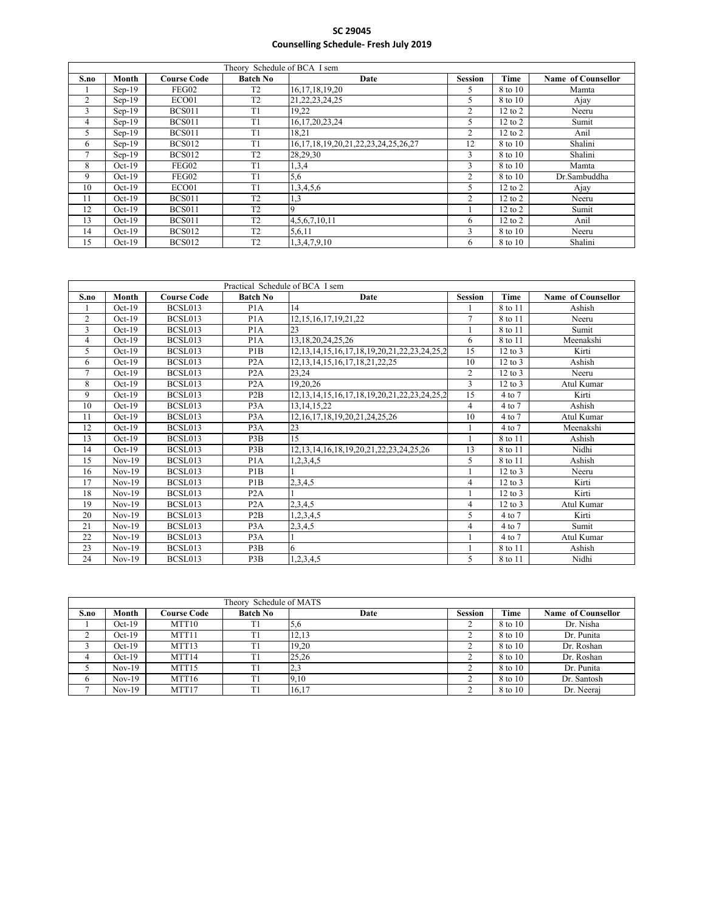|      |          |                    | Theory Schedule of BCA I sem |                                                |                |             |                    |
|------|----------|--------------------|------------------------------|------------------------------------------------|----------------|-------------|--------------------|
| S.no | Month    | <b>Course Code</b> | <b>Batch No</b>              | Date                                           | <b>Session</b> | Time        | Name of Counsellor |
|      | $Sep-19$ | FEG02              | T <sub>2</sub>               | 16, 17, 18, 19, 20                             | 5.             | 8 to 10     | Mamta              |
| 2    | $Sep-19$ | ECO01              | T <sub>2</sub>               | 21, 22, 23, 24, 25                             | 5              | 8 to 10     | Ajay               |
| 3    | $Sep-19$ | <b>BCS011</b>      | T <sub>1</sub>               | 19,22                                          | 2              | $12$ to $2$ | Neeru              |
| 4    | $Sep-19$ | <b>BCS011</b>      | T1                           | 16,17,20,23,24                                 |                | $12$ to $2$ | Sumit              |
| 5    | $Sen-19$ | <b>BCS011</b>      | T1                           | 18.21                                          | $\overline{2}$ | $12$ to $2$ | Anil               |
| 6    | $Sep-19$ | <b>BCS012</b>      | T1                           | 16, 17, 18, 19, 20, 21, 22, 23, 24, 25, 26, 27 | 12             | 8 to 10     | Shalini            |
| 7    | $Sen-19$ | <b>BCS012</b>      | T2                           | 28,29,30                                       | 3              | 8 to 10     | Shalini            |
| 8    | $Oct-19$ | FEG02              | T1                           | 1,3,4                                          | 3              | 8 to 10     | Mamta              |
| 9    | $Oct-19$ | FEG02              | T1                           | 5,6                                            | $\overline{c}$ | 8 to 10     | Dr.Sambuddha       |
| 10   | $Oct-19$ | ECO01              | T1                           | 1,3,4,5,6                                      | 5              | $12$ to $2$ | Ajay               |
| 11   | $Oct-19$ | <b>BCS011</b>      | T <sub>2</sub>               | 1,3                                            | 2              | $12$ to $2$ | Neeru              |
| 12   | $Oct-19$ | <b>BCS011</b>      | T <sub>2</sub>               |                                                |                | $12$ to $2$ | Sumit              |
| 13   | $Oct-19$ | <b>BCS011</b>      | T <sub>2</sub>               | 4,5,6,7,10,11                                  | 6              | $12$ to $2$ | Anil               |
| 14   | $Oct-19$ | <b>BCS012</b>      | T <sub>2</sub>               | 5,6,11                                         | 3              | 8 to 10     | Neeru              |
| 15   | $Oct-19$ | <b>BCS012</b>      | T <sub>2</sub>               | 1,3,4,7,9,10                                   | 6.             | 8 to 10     | Shalini            |

|                |          |                    | Practical Schedule of BCA I sem |                                                           |                |                   |                    |
|----------------|----------|--------------------|---------------------------------|-----------------------------------------------------------|----------------|-------------------|--------------------|
| S.no           | Month    | <b>Course Code</b> | <b>Batch No</b>                 | Date                                                      | <b>Session</b> | Time              | Name of Counsellor |
|                | $Oct-19$ | BCSL013            | P <sub>1</sub> A                | 14                                                        |                | 8 to 11           | Ashish             |
| $\overline{2}$ | $Oct-19$ | <b>BCSL013</b>     | P <sub>1</sub> A                | 12, 15, 16, 17, 19, 21, 22                                | $\overline{7}$ | 8 to 11           | Neeru              |
| 3              | $Oct-19$ | BCSL013            | P <sub>1</sub> A                | 23                                                        |                | 8 to 11           | Sumit              |
| 4              | $Oct-19$ | BCSL013            | P <sub>1</sub> A                | 13, 18, 20, 24, 25, 26                                    | 6              | 8 to 11           | Meenakshi          |
| 5              | $Oct-19$ | <b>BCSL013</b>     | P <sub>1</sub> B                | 12, 13, 14, 15, 16, 17, 18, 19, 20, 21, 22, 23, 24, 25, 2 | 15             | $12$ to $3$       | Kirti              |
| 6              | $Oct-19$ | BCSL013            | P <sub>2</sub> A                | 12, 13, 14, 15, 16, 17, 18, 21, 22, 25                    | 10             | $12$ to $3$       | Ashish             |
| $\overline{7}$ | $Oct-19$ | BCSL013            | P2A                             | 23.24                                                     | 2              | $12$ to $3$       | Neeru              |
| 8              | $Oct-19$ | BCSL013            | P <sub>2</sub> A                | 19,20,26                                                  | 3              | $12$ to $3$       | Atul Kumar         |
| 9              | $Oct-19$ | BCSL013            | P <sub>2</sub> B                | 12, 13, 14, 15, 16, 17, 18, 19, 20, 21, 22, 23, 24, 25, 2 | 15             | 4 to 7            | Kirti              |
| 10             | $Oct-19$ | BCSL013            | P <sub>3</sub> A                | 13, 14, 15, 22                                            | 4              | 4 to 7            | Ashish             |
| 11             | $Oct-19$ | BCSL013            | P <sub>3</sub> A                | 12, 16, 17, 18, 19, 20, 21, 24, 25, 26                    | 10             | $4$ to $7$        | Atul Kumar         |
| 12             | $Oct-19$ | BCSL013            | P <sub>3</sub> A                | 23                                                        |                | $4$ to $7$        | Meenakshi          |
| 13             | $Oct-19$ | BCSL013            | P3B                             | 15                                                        |                | 8 to 11           | Ashish             |
| 14             | $Oct-19$ | BCSL013            | P <sub>3</sub> B                | 12, 13, 14, 16, 18, 19, 20, 21, 22, 23, 24, 25, 26        | 13             | 8 to 11           | Nidhi              |
| 15             | $Nov-19$ | BCSL013            | P <sub>1</sub> A                | 1,2,3,4,5                                                 | 5              | 8 to 11           | Ashish             |
| 16             | $Nov-19$ | BCSL013            | P1B                             |                                                           |                | $12$ to $3$       | Neeru              |
| 17             | $Nov-19$ | BCSL013            | P <sub>1</sub> B                | 2,3,4,5                                                   | 4              | $12$ to $3$       | Kirti              |
| 18             | $Nov-19$ | BCSL013            | P2A                             |                                                           |                | $12$ to $3$       | Kirti              |
| 19             | $Nov-19$ | BCSL013            | P <sub>2</sub> A                | 2,3,4,5                                                   | 4              | $12$ to $3$       | Atul Kumar         |
| 20             | $Nov-19$ | BCSL013            | P2B                             | 1,2,3,4,5                                                 | 5              | $4 \text{ to } 7$ | Kirti              |
| 21             | $Nov-19$ | BCSL013            | P <sub>3</sub> A                | 2,3,4,5                                                   | 4              | 4 to 7            | Sumit              |
| 22             | $Nov-19$ | BCSL013            | P <sub>3</sub> A                |                                                           |                | 4 to 7            | Atul Kumar         |
| 23             | $Nov-19$ | BCSL013            | P3B                             | 6                                                         |                | 8 to 11           | Ashish             |
| 24             | $Nov-19$ | BCSL013            | P3B                             | 1,2,3,4,5                                                 | 5              | 8 to 11           | Nidhi              |

|      | Theory Schedule of MATS |                     |                 |       |                |         |                    |  |  |  |  |
|------|-------------------------|---------------------|-----------------|-------|----------------|---------|--------------------|--|--|--|--|
| S.no | Month                   | C <b>ourse Code</b> | <b>Batch No</b> | Date  | <b>Session</b> | Time    | Name of Counsellor |  |  |  |  |
|      | $Oct-19$                | MTT <sub>10</sub>   | T1              | 5,6   |                | 8 to 10 | Dr. Nisha          |  |  |  |  |
|      | $Oct-19$                | MTT11               | T1              | 12,13 |                | 8 to 10 | Dr. Punita         |  |  |  |  |
|      | $Oct-19$                | MTT <sub>13</sub>   | T1              | 19,20 |                | 8 to 10 | Dr. Roshan         |  |  |  |  |
| 4    | $Oct-19$                | MTT14               | T1              | 25,26 |                | 8 to 10 | Dr. Roshan         |  |  |  |  |
|      | $Nov-19$                | MTT <sub>15</sub>   | T.              | 2,3   |                | 8 to 10 | Dr. Punita         |  |  |  |  |
| O    | $Nov-19$                | MTT16               | T1              | 9,10  |                | 8 to 10 | Dr. Santosh        |  |  |  |  |
|      | $Nov-19$                | MTT17               | T1              | 16,17 |                | 8 to 10 | Dr. Neeraj         |  |  |  |  |